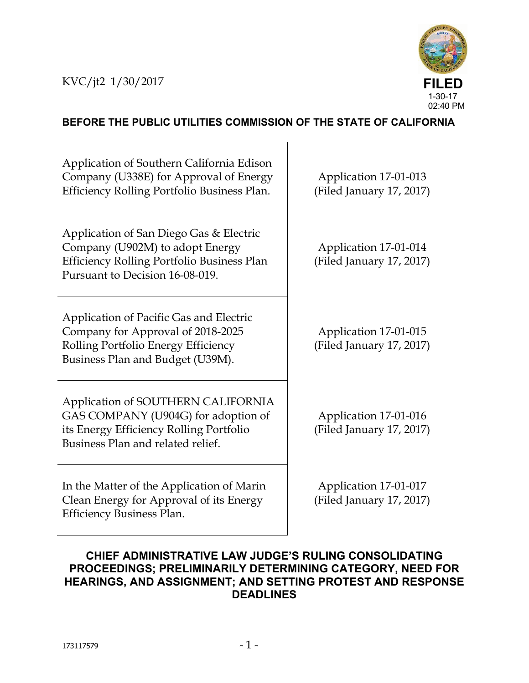

## **BEFORE THE PUBLIC UTILITIES COMMISSION OF THE STATE OF CALIFORNIA**

Application of Southern California Edison Company (U338E) for Approval of Energy Efficiency Rolling Portfolio Business Plan.

Application of San Diego Gas & Electric Company (U902M) to adopt Energy Efficiency Rolling Portfolio Business Plan Pursuant to Decision 16-08-019.

Application of Pacific Gas and Electric Company for Approval of 2018-2025 Rolling Portfolio Energy Efficiency Business Plan and Budget (U39M).

Application of SOUTHERN CALIFORNIA GAS COMPANY (U904G) for adoption of its Energy Efficiency Rolling Portfolio Business Plan and related relief.

In the Matter of the Application of Marin Clean Energy for Approval of its Energy Efficiency Business Plan.

Application 17-01-013 (Filed January 17, 2017)

Application 17-01-014 (Filed January 17, 2017)

Application 17-01-015 (Filed January 17, 2017)

Application 17-01-016 (Filed January 17, 2017)

Application 17-01-017 (Filed January 17, 2017)

## **CHIEF ADMINISTRATIVE LAW JUDGE'S RULING CONSOLIDATING PROCEEDINGS; PRELIMINARILY DETERMINING CATEGORY, NEED FOR HEARINGS, AND ASSIGNMENT; AND SETTING PROTEST AND RESPONSE DEADLINES**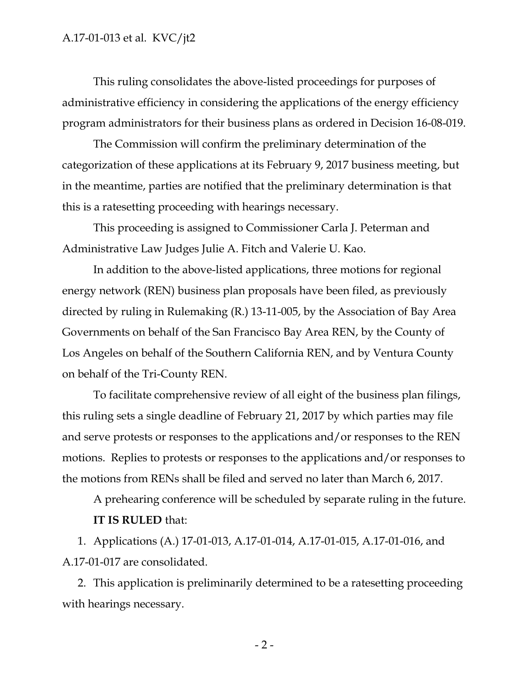This ruling consolidates the above-listed proceedings for purposes of administrative efficiency in considering the applications of the energy efficiency program administrators for their business plans as ordered in Decision 16-08-019.

The Commission will confirm the preliminary determination of the categorization of these applications at its February 9, 2017 business meeting, but in the meantime, parties are notified that the preliminary determination is that this is a ratesetting proceeding with hearings necessary.

This proceeding is assigned to Commissioner Carla J. Peterman and Administrative Law Judges Julie A. Fitch and Valerie U. Kao.

In addition to the above-listed applications, three motions for regional energy network (REN) business plan proposals have been filed, as previously directed by ruling in Rulemaking (R.) 13-11-005, by the Association of Bay Area Governments on behalf of the San Francisco Bay Area REN, by the County of Los Angeles on behalf of the Southern California REN, and by Ventura County on behalf of the Tri-County REN.

To facilitate comprehensive review of all eight of the business plan filings, this ruling sets a single deadline of February 21, 2017 by which parties may file and serve protests or responses to the applications and/or responses to the REN motions. Replies to protests or responses to the applications and/or responses to the motions from RENs shall be filed and served no later than March 6, 2017.

A prehearing conference will be scheduled by separate ruling in the future. **IT IS RULED** that:

1. Applications (A.) 17-01-013, A.17-01-014, A.17-01-015, A.17-01-016, and A.17-01-017 are consolidated.

2. This application is preliminarily determined to be a ratesetting proceeding with hearings necessary.

 $-2-$